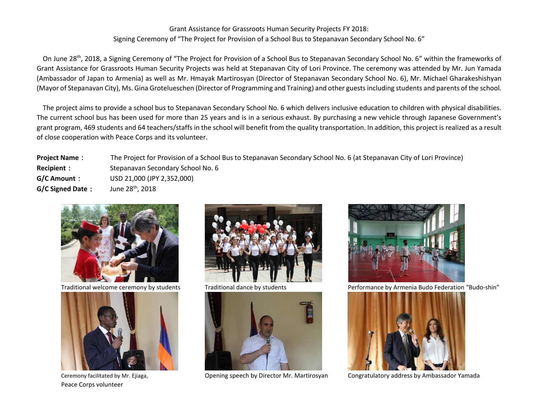## Grant Assistance for Grassroots Human Security Projects FY 2018: Signing Ceremony of "The Project for Provision of a School Bus to Stepanavan Secondary School No. 6"

On June 28th, 2018, a Signing Ceremony of "The Project for Provision of a School Bus to Stepanavan Secondary School No. 6" within the frameworks of Grant Assistance for Grassroots Human Security Projects was held at Stepanavan City of Lori Province. The ceremony was attended by Mr. Jun Yamada (Ambassador of Japan to Armenia) as well as Mr. Hmayak Martirosyan (Director of Stepanavan Secondary School No. 6), Mr. Michael Gharakeshishyan (Mayor of Stepanavan City), Ms. Gina Grotelueschen (Director of Programming and Training) and other guests including students and parents of the school.

The project aims to provide a school bus to Stepanavan Secondary School No. 6 which delivers inclusive education to children with physical disabilities. The current school bus has been used for more than 25 years and is in a serious exhaust. By purchasing a new vehicle through Japanese Government's grant program, 469 students and 64 teachers/staffs in the school will benefit from the quality transportation. In addition, this project is realized as a result of close cooperation with Peace Corps and its volunteer.

**Project Name**: The Project for Provision of a School Bus to Stepanavan Secondary School No. 6 (at Stepanavan City of Lori Province) **Recipient**: Stepanavan Secondary School No. 6 **G/C Amount**: USD 21,000 (JPY 2,352,000) **G/C Signed Date**: June 28<sup>th</sup>, 2018





Peace Corps volunteer







Traditional welcome ceremony by students Traditional dance by students Performance by Armenia Budo Federation "Budo-shin"



Ceremony facilitated by Mr. Ejiaga, Opening speech by Director Mr. Martirosyan Congratulatory address by Ambassador Yamada